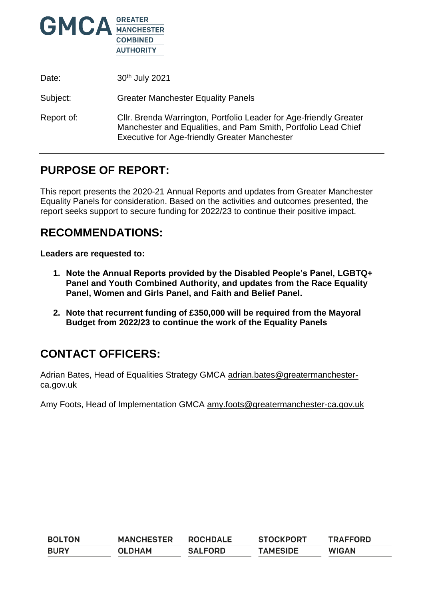

| Date:      | 30th July 2021                                                                                                                                                                               |
|------------|----------------------------------------------------------------------------------------------------------------------------------------------------------------------------------------------|
| Subject:   | <b>Greater Manchester Equality Panels</b>                                                                                                                                                    |
| Report of: | Cllr. Brenda Warrington, Portfolio Leader for Age-friendly Greater<br>Manchester and Equalities, and Pam Smith, Portfolio Lead Chief<br><b>Executive for Age-friendly Greater Manchester</b> |

## **PURPOSE OF REPORT:**

This report presents the 2020-21 Annual Reports and updates from Greater Manchester Equality Panels for consideration. Based on the activities and outcomes presented, the report seeks support to secure funding for 2022/23 to continue their positive impact.

# **RECOMMENDATIONS:**

**Leaders are requested to:**

- **1. Note the Annual Reports provided by the Disabled People's Panel, LGBTQ+ Panel and Youth Combined Authority, and updates from the Race Equality Panel, Women and Girls Panel, and Faith and Belief Panel.**
- **2. Note that recurrent funding of £350,000 will be required from the Mayoral Budget from 2022/23 to continue the work of the Equality Panels**

# **CONTACT OFFICERS:**

Adrian Bates, Head of Equalities Strategy GMCA [adrian.bates@greatermanchester](mailto:adrian.bates@greatermanchester-ca.gov.uk)[ca.gov.uk](mailto:adrian.bates@greatermanchester-ca.gov.uk) 

Amy Foots, Head of Implementation GMCA [amy.foots@greatermanchester-ca.gov.uk](mailto:amy.foots@greatermanchester-ca.gov.uk)

| <b>BOLTON</b> | <b>MANCHESTER</b> | <b>ROCHDALE</b> | <b>STOCKPORT</b> | <b>TRAFFORD</b> |
|---------------|-------------------|-----------------|------------------|-----------------|
| <b>BURY</b>   | <b>OLDHAM</b>     | <b>SALFORD</b>  | <b>TAMESIDE</b>  | <b>WIGAN</b>    |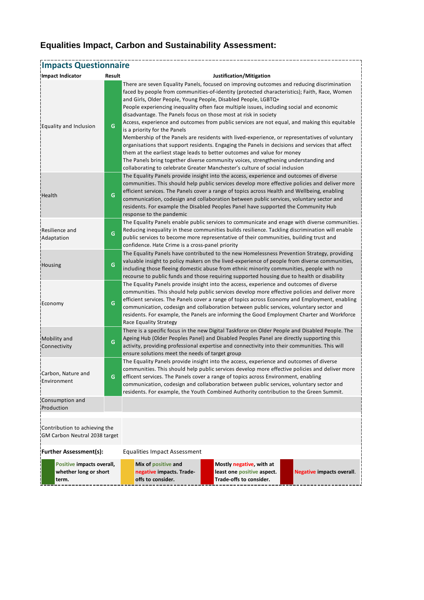### **Equalities Impact, Carbon and Sustainability Assessment:**

| <b>Impacts Questionnaire</b>                                   |        |                                                                                                                                                                                                                                                                                                                                                                                                                                                                                                                                                                                                                                                                                                                                                                                                                                                                                                                                                                                                                   |  |  |  |  |  |
|----------------------------------------------------------------|--------|-------------------------------------------------------------------------------------------------------------------------------------------------------------------------------------------------------------------------------------------------------------------------------------------------------------------------------------------------------------------------------------------------------------------------------------------------------------------------------------------------------------------------------------------------------------------------------------------------------------------------------------------------------------------------------------------------------------------------------------------------------------------------------------------------------------------------------------------------------------------------------------------------------------------------------------------------------------------------------------------------------------------|--|--|--|--|--|
| Impact Indicator                                               | Result | Justification/Mitigation                                                                                                                                                                                                                                                                                                                                                                                                                                                                                                                                                                                                                                                                                                                                                                                                                                                                                                                                                                                          |  |  |  |  |  |
| Equality and Inclusion                                         | G      | There are seven Equality Panels, focused on improving outcomes and reducing discrimination<br>faced by people from communities-of-identity (protected characteristics); Faith, Race, Women<br>and Girls, Older People, Young People, Disabled People, LGBTQ+<br>People experiencing inequality often face multiple issues, including social and economic<br>disadvantage. The Panels focus on those most at risk in society<br>Access, experience and outcomes from public services are not equal, and making this equitable<br>is a priority for the Panels<br>Membership of the Panels are residents with lived-experience, or representatives of voluntary<br>organisations that support residents. Engaging the Panels in decisions and services that affect<br>them at the earliest stage leads to better outcomes and value for money<br>The Panels bring together diverse community voices, strengthening understanding and<br>collaborating to celebrate Greater Manchester's culture of social inclusion |  |  |  |  |  |
| Health                                                         | G      | The Equality Panels provide insight into the access, experience and outcomes of diverse<br>communities. This should help public services develop more effective policies and deliver more<br>efficient services. The Panels cover a range of topics across Health and Wellbeing, enabling<br>communication, codesign and collaboration between public services, voluntary sector and<br>residents. For example the Disabled Peoples Panel have supported the Community Hub<br>response to the pandemic                                                                                                                                                                                                                                                                                                                                                                                                                                                                                                            |  |  |  |  |  |
| Resilience and<br>Adaptation                                   | G      | The Equality Panels enable public services to communicate and enage with diverse communities.<br>Reducing inequality in these communities builds resilience. Tackling discrimination will enable<br>public services to become more representative of their communities, building trust and<br>confidence. Hate Crime is a cross-panel priority                                                                                                                                                                                                                                                                                                                                                                                                                                                                                                                                                                                                                                                                    |  |  |  |  |  |
| Housing                                                        | G      | The Equality Panels have contributed to the new Homelessness Prevention Strategy, providing<br>valuable insight to policy makers on the lived-experience of people from diverse communities,<br>including those fleeing domestic abuse from ethnic minority communities, people with no<br>recourse to public funds and those requiring supported housing due to health or disability                                                                                                                                                                                                                                                                                                                                                                                                                                                                                                                                                                                                                             |  |  |  |  |  |
| Economy                                                        | G      | The Equality Panels provide insight into the access, experience and outcomes of diverse<br>communities. This should help public services develop more effective policies and deliver more<br>efficient services. The Panels cover a range of topics across Economy and Employment, enabling<br>communication, codesign and collaboration between public services, voluntary sector and<br>residents. For example, the Panels are informing the Good Employment Charter and Workforce<br>Race Equality Strategy                                                                                                                                                                                                                                                                                                                                                                                                                                                                                                    |  |  |  |  |  |
| Mobility and<br>Connectivity                                   | G      | There is a specific focus in the new Digital Taskforce on Older People and Disabled People. The<br>Ageing Hub (Older Peoples Panel) and Disabled Peoples Panel are directly supporting this<br>activity, providing professional expertise and connectivity into their communities. This will<br>ensure solutions meet the needs of target group                                                                                                                                                                                                                                                                                                                                                                                                                                                                                                                                                                                                                                                                   |  |  |  |  |  |
| Carbon, Nature and<br>Environment                              | G      | The Equality Panels provide insight into the access, experience and outcomes of diverse<br>communities. This should help public services develop more effective policies and deliver more<br>efficent services. The Panels cover a range of topics across Environment, enabling<br>communication, codesign and collaboration between public services, voluntary sector and<br>residents. For example, the Youth Combined Authority contribution to the Green Summit.                                                                                                                                                                                                                                                                                                                                                                                                                                                                                                                                              |  |  |  |  |  |
| Consumption and<br>Production                                  |        |                                                                                                                                                                                                                                                                                                                                                                                                                                                                                                                                                                                                                                                                                                                                                                                                                                                                                                                                                                                                                   |  |  |  |  |  |
| Contribution to achieving the<br>GM Carbon Neutral 2038 target |        |                                                                                                                                                                                                                                                                                                                                                                                                                                                                                                                                                                                                                                                                                                                                                                                                                                                                                                                                                                                                                   |  |  |  |  |  |
| <b>Further Assessment(s):</b>                                  |        | <b>Equalities Impact Assessment</b>                                                                                                                                                                                                                                                                                                                                                                                                                                                                                                                                                                                                                                                                                                                                                                                                                                                                                                                                                                               |  |  |  |  |  |
| Positive impacts overall,<br>whether long or short<br>term.    |        | Mix of positive and<br>Mostly negative, with at<br>least one positive aspect.<br>negative impacts. Trade-<br><b>Negative impacts overall.</b><br>Trade-offs to consider.<br>offs to consider.                                                                                                                                                                                                                                                                                                                                                                                                                                                                                                                                                                                                                                                                                                                                                                                                                     |  |  |  |  |  |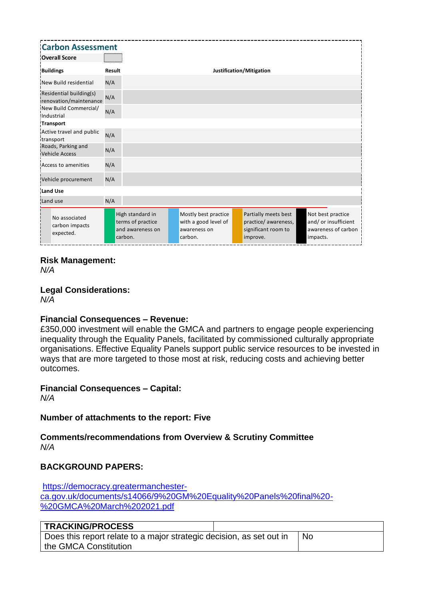| <b>Carbon Assessment</b>                          |        |                                                                      |                          |                                                                         |  |                                                                                 |          |                                                                  |
|---------------------------------------------------|--------|----------------------------------------------------------------------|--------------------------|-------------------------------------------------------------------------|--|---------------------------------------------------------------------------------|----------|------------------------------------------------------------------|
| <b>Overall Score</b>                              |        |                                                                      |                          |                                                                         |  |                                                                                 |          |                                                                  |
| <b>Buildings</b>                                  | Result |                                                                      | Justification/Mitigation |                                                                         |  |                                                                                 |          |                                                                  |
| New Build residential                             | N/A    |                                                                      |                          |                                                                         |  |                                                                                 |          |                                                                  |
| Residential building(s)<br>renovation/maintenance | N/A    |                                                                      |                          |                                                                         |  |                                                                                 |          |                                                                  |
| New Build Commercial/<br>Industrial               | N/A    |                                                                      |                          |                                                                         |  |                                                                                 |          |                                                                  |
| <b>Transport</b>                                  |        |                                                                      |                          |                                                                         |  |                                                                                 |          |                                                                  |
| Active travel and public<br>transport             | N/A    |                                                                      |                          |                                                                         |  |                                                                                 |          |                                                                  |
| Roads, Parking and<br><b>Vehicle Access</b>       | N/A    |                                                                      |                          |                                                                         |  |                                                                                 |          |                                                                  |
| Access to amenities                               | N/A    |                                                                      |                          |                                                                         |  |                                                                                 |          |                                                                  |
| Vehicle procurement                               | N/A    |                                                                      |                          |                                                                         |  |                                                                                 |          |                                                                  |
| <b>Land Use</b>                                   |        |                                                                      |                          |                                                                         |  |                                                                                 |          |                                                                  |
| Land use                                          | N/A    |                                                                      |                          |                                                                         |  |                                                                                 |          |                                                                  |
| No associated<br>carbon impacts<br>expected.      |        | High standard in<br>terms of practice<br>and awareness on<br>carbon. |                          | Mostly best practice<br>with a good level of<br>awareness on<br>carbon. |  | Partially meets best<br>practice/ awareness,<br>significant room to<br>improve. | impacts. | Not best practice<br>and/ or insufficient<br>awareness of carbon |

### **Risk Management:**

*N/A*

### **Legal Considerations:**

*N/A*

### **Financial Consequences – Revenue:**

£350,000 investment will enable the GMCA and partners to engage people experiencing inequality through the Equality Panels, facilitated by commissioned culturally appropriate organisations. Effective Equality Panels support public service resources to be invested in ways that are more targeted to those most at risk, reducing costs and achieving better outcomes.

### **Financial Consequences – Capital:**

*N/A*

### **Number of attachments to the report: Five**

**Comments/recommendations from Overview & Scrutiny Committee**  *N/A*

### **BACKGROUND PAPERS:**

[https://democracy.greatermanchester](https://democracy.greatermanchester-ca.gov.uk/documents/s14066/9%20GM%20Equality%20Panels%20final%20-%20GMCA%20March%202021.pdf)[ca.gov.uk/documents/s14066/9%20GM%20Equality%20Panels%20final%20-](https://democracy.greatermanchester-ca.gov.uk/documents/s14066/9%20GM%20Equality%20Panels%20final%20-%20GMCA%20March%202021.pdf) [%20GMCA%20March%202021.pdf](https://democracy.greatermanchester-ca.gov.uk/documents/s14066/9%20GM%20Equality%20Panels%20final%20-%20GMCA%20March%202021.pdf)

### **TRACKING/PROCESS**

| Does this report relate to a major strategic decision, as set out in | ⊥ No |
|----------------------------------------------------------------------|------|
| the GMCA Constitution                                                |      |

 $\overline{\phantom{a}}$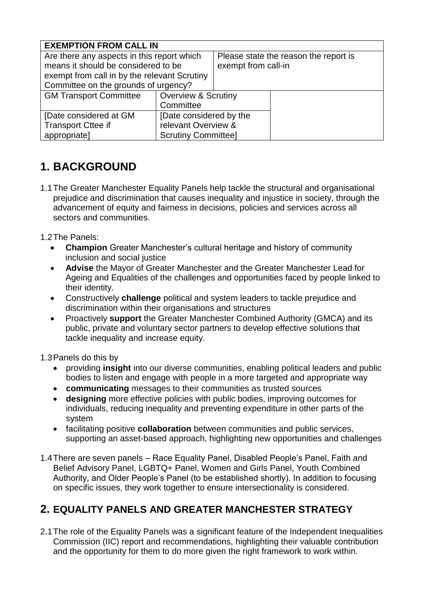| <b>EXEMPTION FROM CALL IN</b>                |                                |                                       |  |  |  |  |
|----------------------------------------------|--------------------------------|---------------------------------------|--|--|--|--|
| Are there any aspects in this report which   |                                | Please state the reason the report is |  |  |  |  |
| means it should be considered to be          |                                | exempt from call-in                   |  |  |  |  |
| exempt from call in by the relevant Scrutiny |                                |                                       |  |  |  |  |
| Committee on the grounds of urgency?         |                                |                                       |  |  |  |  |
| <b>GM Transport Committee</b>                | <b>Overview &amp; Scrutiny</b> |                                       |  |  |  |  |
|                                              | Committee                      |                                       |  |  |  |  |
| [Date considered at GM                       | [Date considered by the        |                                       |  |  |  |  |
| <b>Transport Cttee if</b>                    | relevant Overview &            |                                       |  |  |  |  |
| appropriate]                                 | <b>Scrutiny Committee]</b>     |                                       |  |  |  |  |

# **1. BACKGROUND**

1.1The Greater Manchester Equality Panels help tackle the structural and organisational prejudice and discrimination that causes inequality and injustice in society, through the advancement of equity and fairness in decisions, policies and services across all sectors and communities.

1.2The Panels:

- **Champion** Greater Manchester's cultural heritage and history of community inclusion and social justice
- **Advise** the Mayor of Greater Manchester and the Greater Manchester Lead for Ageing and Equalities of the challenges and opportunities faced by people linked to their identity.
- Constructively **challenge** political and system leaders to tackle prejudice and discrimination within their organisations and structures
- Proactively **support** the Greater Manchester Combined Authority (GMCA) and its public, private and voluntary sector partners to develop effective solutions that tackle inequality and increase equity.

1.3Panels do this by

- providing **insight** into our diverse communities, enabling political leaders and public bodies to listen and engage with people in a more targeted and appropriate way
- **communicating** messages to their communities as trusted sources
- **designing** more effective policies with public bodies, improving outcomes for individuals, reducing inequality and preventing expenditure in other parts of the system
- facilitating positive **collaboration** between communities and public services, supporting an asset-based approach, highlighting new opportunities and challenges
- 1.4There are seven panels Race Equality Panel, Disabled People's Panel, Faith and Belief Advisory Panel, LGBTQ+ Panel, Women and Girls Panel, Youth Combined Authority, and Older People's Panel (to be established shortly). In addition to focusing on specific issues, they work together to ensure intersectionality is considered.

## **2. EQUALITY PANELS AND GREATER MANCHESTER STRATEGY**

2.1The role of the Equality Panels was a significant feature of the Independent Inequalities Commission (IIC) report and recommendations, highlighting their valuable contribution and the opportunity for them to do more given the right framework to work within.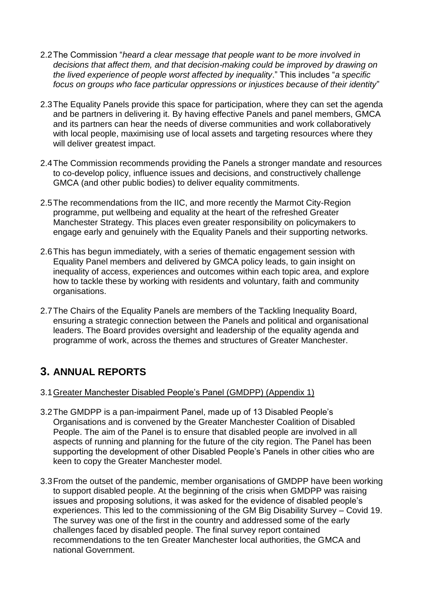- 2.2The Commission "*heard a clear message that people want to be more involved in decisions that affect them, and that decision-making could be improved by drawing on the lived experience of people worst affected by inequality*." This includes "*a specific focus on groups who face particular oppressions or injustices because of their identity*"
- 2.3The Equality Panels provide this space for participation, where they can set the agenda and be partners in delivering it. By having effective Panels and panel members, GMCA and its partners can hear the needs of diverse communities and work collaboratively with local people, maximising use of local assets and targeting resources where they will deliver greatest impact.
- 2.4The Commission recommends providing the Panels a stronger mandate and resources to co-develop policy, influence issues and decisions, and constructively challenge GMCA (and other public bodies) to deliver equality commitments.
- 2.5The recommendations from the IIC, and more recently the Marmot City-Region programme, put wellbeing and equality at the heart of the refreshed Greater Manchester Strategy. This places even greater responsibility on policymakers to engage early and genuinely with the Equality Panels and their supporting networks.
- 2.6This has begun immediately, with a series of thematic engagement session with Equality Panel members and delivered by GMCA policy leads, to gain insight on inequality of access, experiences and outcomes within each topic area, and explore how to tackle these by working with residents and voluntary, faith and community organisations.
- 2.7The Chairs of the Equality Panels are members of the Tackling Inequality Board, ensuring a strategic connection between the Panels and political and organisational leaders. The Board provides oversight and leadership of the equality agenda and programme of work, across the themes and structures of Greater Manchester.

## **3. ANNUAL REPORTS**

### 3.1Greater Manchester Disabled People's Panel (GMDPP) (Appendix 1)

- 3.2The GMDPP is a pan-impairment Panel, made up of 13 Disabled People's Organisations and is convened by the Greater Manchester Coalition of Disabled People. The aim of the Panel is to ensure that disabled people are involved in all aspects of running and planning for the future of the city region. The Panel has been supporting the development of other Disabled People's Panels in other cities who are keen to copy the Greater Manchester model.
- 3.3From the outset of the pandemic, member organisations of GMDPP have been working to support disabled people. At the beginning of the crisis when GMDPP was raising issues and proposing solutions, it was asked for the evidence of disabled people's experiences. This led to the commissioning of the GM Big Disability Survey – Covid 19. The survey was one of the first in the country and addressed some of the early challenges faced by disabled people. The final survey report contained recommendations to the ten Greater Manchester local authorities, the GMCA and national Government.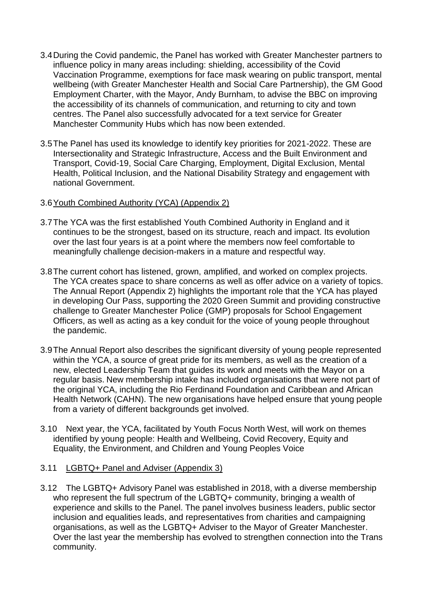- 3.4During the Covid pandemic, the Panel has worked with Greater Manchester partners to influence policy in many areas including: shielding, accessibility of the Covid Vaccination Programme, exemptions for face mask wearing on public transport, mental wellbeing (with Greater Manchester Health and Social Care Partnership), the GM Good Employment Charter, with the Mayor, Andy Burnham, to advise the BBC on improving the accessibility of its channels of communication, and returning to city and town centres. The Panel also successfully advocated for a text service for Greater Manchester Community Hubs which has now been extended.
- 3.5The Panel has used its knowledge to identify key priorities for 2021-2022. These are Intersectionality and Strategic Infrastructure, Access and the Built Environment and Transport, Covid-19, Social Care Charging, Employment, Digital Exclusion, Mental Health, Political Inclusion, and the National Disability Strategy and engagement with national Government.

### 3.6Youth Combined Authority (YCA) (Appendix 2)

- 3.7The YCA was the first established Youth Combined Authority in England and it continues to be the strongest, based on its structure, reach and impact. Its evolution over the last four years is at a point where the members now feel comfortable to meaningfully challenge decision-makers in a mature and respectful way.
- 3.8The current cohort has listened, grown, amplified, and worked on complex projects. The YCA creates space to share concerns as well as offer advice on a variety of topics. The Annual Report (Appendix 2) highlights the important role that the YCA has played in developing Our Pass, supporting the 2020 Green Summit and providing constructive challenge to Greater Manchester Police (GMP) proposals for School Engagement Officers, as well as acting as a key conduit for the voice of young people throughout the pandemic.
- 3.9The Annual Report also describes the significant diversity of young people represented within the YCA, a source of great pride for its members, as well as the creation of a new, elected Leadership Team that guides its work and meets with the Mayor on a regular basis. New membership intake has included organisations that were not part of the original YCA, including the Rio Ferdinand Foundation and Caribbean and African Health Network (CAHN). The new organisations have helped ensure that young people from a variety of different backgrounds get involved.
- 3.10 Next year, the YCA, facilitated by Youth Focus North West, will work on themes identified by young people: Health and Wellbeing, Covid Recovery, Equity and Equality, the Environment, and Children and Young Peoples Voice

### 3.11 LGBTQ+ Panel and Adviser (Appendix 3)

3.12 The LGBTQ+ Advisory Panel was established in 2018, with a diverse membership who represent the full spectrum of the LGBTQ+ community, bringing a wealth of experience and skills to the Panel. The panel involves business leaders, public sector inclusion and equalities leads, and representatives from charities and campaigning organisations, as well as the LGBTQ+ Adviser to the Mayor of Greater Manchester. Over the last year the membership has evolved to strengthen connection into the Trans community.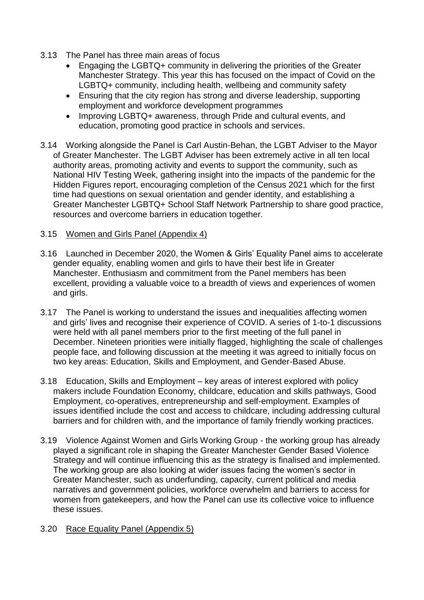- 3.13 The Panel has three main areas of focus
	- Engaging the LGBTQ+ community in delivering the priorities of the Greater Manchester Strategy. This year this has focused on the impact of Covid on the LGBTQ+ community, including health, wellbeing and community safety
	- Ensuring that the city region has strong and diverse leadership, supporting employment and workforce development programmes
	- Improving LGBTQ+ awareness, through Pride and cultural events, and education, promoting good practice in schools and services.
- 3.14 Working alongside the Panel is Carl Austin-Behan, the LGBT Adviser to the Mayor of Greater Manchester. The LGBT Adviser has been extremely active in all ten local authority areas, promoting activity and events to support the community, such as National HIV Testing Week, gathering insight into the impacts of the pandemic for the Hidden Figures report, encouraging completion of the Census 2021 which for the first time had questions on sexual orientation and gender identity, and establishing a Greater Manchester LGBTQ+ School Staff Network Partnership to share good practice, resources and overcome barriers in education together.

### 3.15 Women and Girls Panel (Appendix 4)

- 3.16 Launched in December 2020, the Women & Girls' Equality Panel aims to accelerate gender equality, enabling women and girls to have their best life in Greater Manchester. Enthusiasm and commitment from the Panel members has been excellent, providing a valuable voice to a breadth of views and experiences of women and girls.
- 3.17 The Panel is working to understand the issues and inequalities affecting women and girls' lives and recognise their experience of COVID. A series of 1-to-1 discussions were held with all panel members prior to the first meeting of the full panel in December. Nineteen priorities were initially flagged, highlighting the scale of challenges people face, and following discussion at the meeting it was agreed to initially focus on two key areas: Education, Skills and Employment, and Gender-Based Abuse.
- 3.18 Education, Skills and Employment key areas of interest explored with policy makers include Foundation Economy, childcare, education and skills pathways, Good Employment, co-operatives, entrepreneurship and self-employment. Examples of issues identified include the cost and access to childcare, including addressing cultural barriers and for children with, and the importance of family friendly working practices.
- 3.19 Violence Against Women and Girls Working Group the working group has already played a significant role in shaping the Greater Manchester Gender Based Violence Strategy and will continue influencing this as the strategy is finalised and implemented. The working group are also looking at wider issues facing the women's sector in Greater Manchester, such as underfunding, capacity, current political and media narratives and government policies, workforce overwhelm and barriers to access for women from gatekeepers, and how the Panel can use its collective voice to influence these issues.

### 3.20 Race Equality Panel (Appendix 5)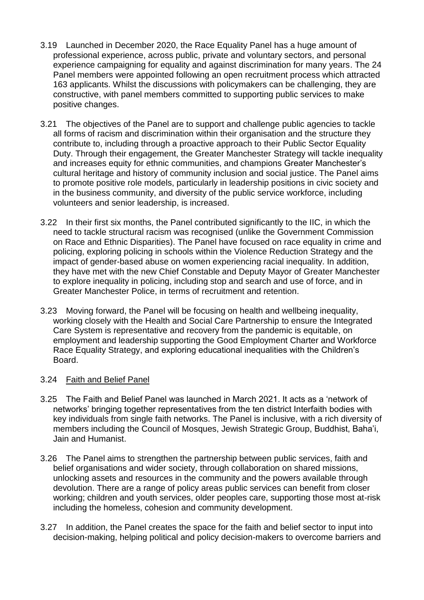- 3.19 Launched in December 2020, the Race Equality Panel has a huge amount of professional experience, across public, private and voluntary sectors, and personal experience campaigning for equality and against discrimination for many years. The 24 Panel members were appointed following an open recruitment process which attracted 163 applicants. Whilst the discussions with policymakers can be challenging, they are constructive, with panel members committed to supporting public services to make positive changes.
- 3.21 The objectives of the Panel are to support and challenge public agencies to tackle all forms of racism and discrimination within their organisation and the structure they contribute to, including through a proactive approach to their Public Sector Equality Duty. Through their engagement, the Greater Manchester Strategy will tackle inequality and increases equity for ethnic communities, and champions Greater Manchester's cultural heritage and history of community inclusion and social justice. The Panel aims to promote positive role models, particularly in leadership positions in civic society and in the business community, and diversity of the public service workforce, including volunteers and senior leadership, is increased.
- 3.22 In their first six months, the Panel contributed significantly to the IIC, in which the need to tackle structural racism was recognised (unlike the Government Commission on Race and Ethnic Disparities). The Panel have focused on race equality in crime and policing, exploring policing in schools within the Violence Reduction Strategy and the impact of gender-based abuse on women experiencing racial inequality. In addition, they have met with the new Chief Constable and Deputy Mayor of Greater Manchester to explore inequality in policing, including stop and search and use of force, and in Greater Manchester Police, in terms of recruitment and retention.
- 3.23 Moving forward, the Panel will be focusing on health and wellbeing inequality, working closely with the Health and Social Care Partnership to ensure the Integrated Care System is representative and recovery from the pandemic is equitable, on employment and leadership supporting the Good Employment Charter and Workforce Race Equality Strategy, and exploring educational inequalities with the Children's Board.

### 3.24 Faith and Belief Panel

- 3.25 The Faith and Belief Panel was launched in March 2021. It acts as a 'network of networks' bringing together representatives from the ten district Interfaith bodies with key individuals from single faith networks. The Panel is inclusive, with a rich diversity of members including the Council of Mosques, Jewish Strategic Group, Buddhist, Baha'i, Jain and Humanist.
- 3.26 The Panel aims to strengthen the partnership between public services, faith and belief organisations and wider society, through collaboration on shared missions, unlocking assets and resources in the community and the powers available through devolution. There are a range of policy areas public services can benefit from closer working; children and youth services, older peoples care, supporting those most at-risk including the homeless, cohesion and community development.
- 3.27 In addition, the Panel creates the space for the faith and belief sector to input into decision-making, helping political and policy decision-makers to overcome barriers and